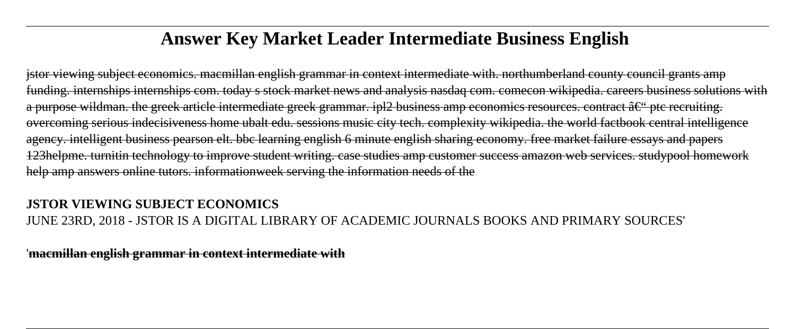# **Answer Key Market Leader Intermediate Business English**

jstor viewing subject economics. macmillan english grammar in context intermediate with. northumberland county council grants amp funding. internships internships com. today s stock market news and analysis nasdaq com. comecon wikipedia. careers business solutions with a purpose wildman, the greek article intermediate greek grammar, ipl2 business amp economics resources, contract  $\hat{a}\in\hat{b}$  ptc recruiting. overcoming serious indecisiveness home ubalt edu. sessions music city tech. complexity wikipedia. the world factbook central intelligence agency. intelligent business pearson elt. bbc learning english 6 minute english sharing economy. free market failure essays and papers 123helpme. turnitin technology to improve student writing. case studies amp customer success amazon web services. studypool homework help amp answers online tutors. informationweek serving the information needs of the

#### **JSTOR VIEWING SUBJECT ECONOMICS** JUNE 23RD, 2018 - JSTOR IS A DIGITAL LIBRARY OF ACADEMIC JOURNALS BOOKS AND PRIMARY SOURCES'

'**macmillan english grammar in context intermediate with**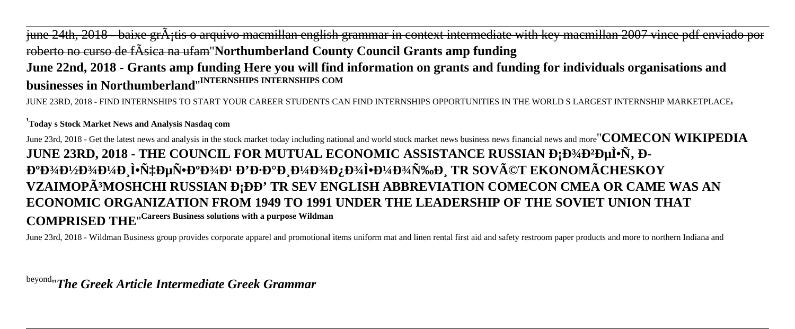## june 24th, 2018 - baixe gr $\tilde{A}$ ;tis o arquivo macmillan english grammar in context intermediate with key macmillan 2007 vince pdf enviado por roberto no curso de fÃsica na ufam''**Northumberland County Council Grants amp funding June 22nd, 2018 - Grants amp funding Here you will find information on grants and funding for individuals organisations and businesses in Northumberland**''**INTERNSHIPS INTERNSHIPS COM**

JUNE 23RD, 2018 - FIND INTERNSHIPS TO START YOUR CAREER STUDENTS CAN FIND INTERNSHIPS OPPORTUNITIES IN THE WORLD S LARGEST INTERNSHIP MARKETPLACE'

#### '**Today s Stock Market News and Analysis Nasdaq com**

June 23rd, 2018 - Get the latest news and analysis in the stock market today including national and world stock market news business news financial news and more''**COMECON WIKIPEDIA JUNE 23RD, 2018 - THE COUNCIL FOR MUTUAL ECONOMIC ASSISTANCE RUSSIAN Đ;Đ¾Đ2еÌ•Ñ, Đ-E**<sup>o</sup>Đ¾Đ½Đ¾Đ¼Đ Ì•Ñ‡ĐµÑ•ĐºĐ¾Đ<sup>1</sup> Đ'Đ·ĐºĐ Đ¼Đ¾Đ¿Đ¾Ì•Đ¼Đ¾Ñ‰Đ TR SOVéT EKONOMÃCHESKOY VZAIMOPÃ<sup>3</sup>MOSHCHI RUSSIAN Đ<sub>I</sub>ĐĐ' TR SEV ENGLISH ABBREVIATION COMECON CMEA OR CAME WAS AN **ECONOMIC ORGANIZATION FROM 1949 TO 1991 UNDER THE LEADERSHIP OF THE SOVIET UNION THAT COMPRISED THE**''**Careers Business solutions with a purpose Wildman**

June 23rd, 2018 - Wildman Business group provides corporate apparel and promotional items uniform mat and linen rental first aid and safety restroom paper products and more to northern Indiana and

beyond''*The Greek Article Intermediate Greek Grammar*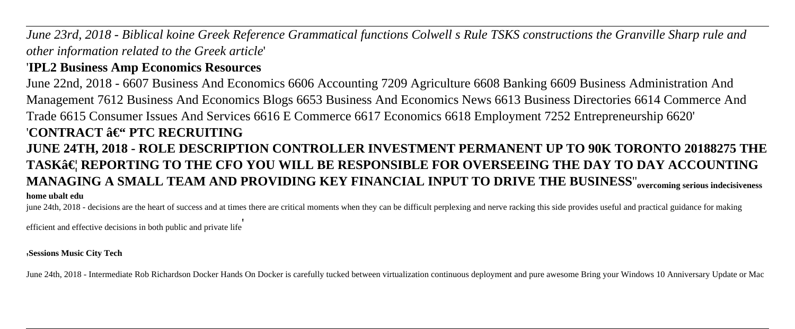*June 23rd, 2018 - Biblical koine Greek Reference Grammatical functions Colwell s Rule TSKS constructions the Granville Sharp rule and other information related to the Greek article*'

### '**IPL2 Business Amp Economics Resources**

June 22nd, 2018 - 6607 Business And Economics 6606 Accounting 7209 Agriculture 6608 Banking 6609 Business Administration And Management 7612 Business And Economics Blogs 6653 Business And Economics News 6613 Business Directories 6614 Commerce And Trade 6615 Consumer Issues And Services 6616 E Commerce 6617 Economics 6618 Employment 7252 Entrepreneurship 6620' '**CONTRACT – PTC RECRUITING JUNE 24TH, 2018 - ROLE DESCRIPTION CONTROLLER INVESTMENT PERMANENT UP TO 90K TORONTO 20188275 THE TASK… REPORTING TO THE CFO YOU WILL BE RESPONSIBLE FOR OVERSEEING THE DAY TO DAY ACCOUNTING MANAGING A SMALL TEAM AND PROVIDING KEY FINANCIAL INPUT TO DRIVE THE BUSINESS**''**overcoming serious indecisiveness home ubalt edu**

june 24th, 2018 - decisions are the heart of success and at times there are critical moments when they can be difficult perplexing and nerve racking this side provides useful and practical guidance for making

efficient and effective decisions in both public and private life'

'**Sessions Music City Tech**

June 24th, 2018 - Intermediate Rob Richardson Docker Hands On Docker is carefully tucked between virtualization continuous deployment and pure awesome Bring your Windows 10 Anniversary Update or Mac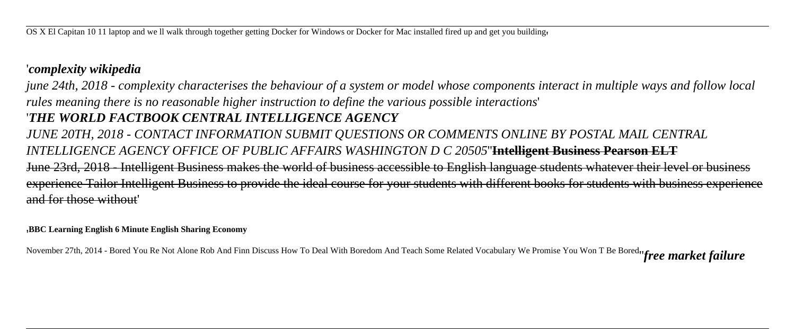#### '*complexity wikipedia*

*june 24th, 2018 - complexity characterises the behaviour of a system or model whose components interact in multiple ways and follow local rules meaning there is no reasonable higher instruction to define the various possible interactions*' '*THE WORLD FACTBOOK CENTRAL INTELLIGENCE AGENCY JUNE 20TH, 2018 - CONTACT INFORMATION SUBMIT QUESTIONS OR COMMENTS ONLINE BY POSTAL MAIL CENTRAL INTELLIGENCE AGENCY OFFICE OF PUBLIC AFFAIRS WASHINGTON D C 20505*''**Intelligent Business Pearson ELT** June 23rd, 2018 - Intelligent Business makes the world of business accessible to English language students whatever their level or business experience Tailor Intelligent Business to provide the ideal course for your students with different books for students with business experience and for those without'

#### '**BBC Learning English 6 Minute English Sharing Economy**

November 27th, 2014 - Bored You Re Not Alone Rob And Finn Discuss How To Deal With Boredom And Teach Some Related Vocabulary We Promise You Won T Be Bored''*free market failure*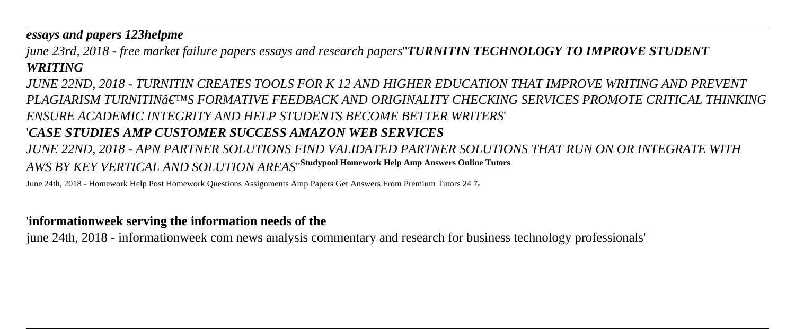*essays and papers 123helpme*

*june 23rd, 2018 - free market failure papers essays and research papers*''*TURNITIN TECHNOLOGY TO IMPROVE STUDENT WRITING*

*JUNE 22ND, 2018 - TURNITIN CREATES TOOLS FOR K 12 AND HIGHER EDUCATION THAT IMPROVE WRITING AND PREVENT PLAGIARISM TURNITIN'S FORMATIVE FEEDBACK AND ORIGINALITY CHECKING SERVICES PROMOTE CRITICAL THINKING ENSURE ACADEMIC INTEGRITY AND HELP STUDENTS BECOME BETTER WRITERS*' '*CASE STUDIES AMP CUSTOMER SUCCESS AMAZON WEB SERVICES JUNE 22ND, 2018 - APN PARTNER SOLUTIONS FIND VALIDATED PARTNER SOLUTIONS THAT RUN ON OR INTEGRATE WITH AWS BY KEY VERTICAL AND SOLUTION AREAS*''**Studypool Homework Help Amp Answers Online Tutors**

June 24th, 2018 - Homework Help Post Homework Questions Assignments Amp Papers Get Answers From Premium Tutors 24 7'

#### '**informationweek serving the information needs of the**

june 24th, 2018 - informationweek com news analysis commentary and research for business technology professionals'